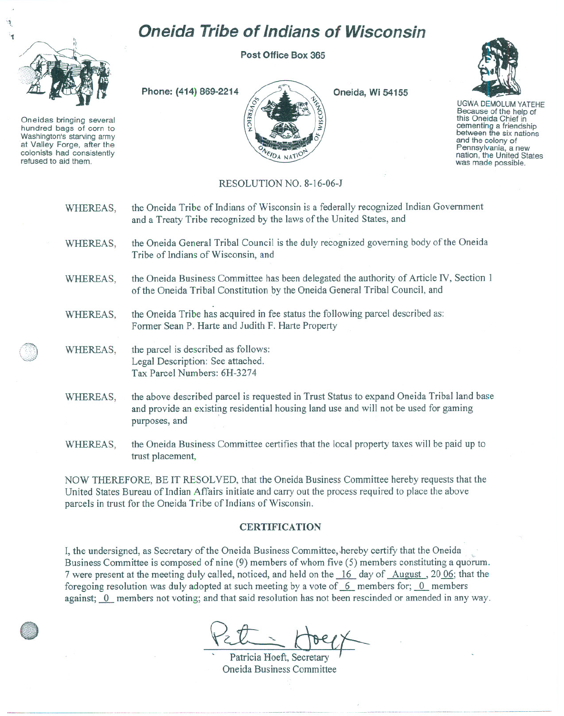## **Oneida Tribe of Indians of Wisconsin**

Oneidas bringing several hundred bags of corn to Washington's starving army at Valley Forge, after the<br>colonists had consistently refused to aid them.

**Post Office Box 365**

**Phone: (414) 869-2214**

**Oneida, Wi 54155**



UGWA DEMOLUM YATEHE Because of the help of this Oneida Chief in cementing <sup>a</sup> friendship between the six nations and the colony of<br>Pennsylvania, a new nation, the United States was made possible.

## RESOLUTION NO. 8-16-06-J

**FIDA NATIC** 

| WHEREAS, | the Oneida Tribe of Indians of Wisconsin is a federally recognized Indian Government<br>and a Treaty Tribe recognized by the laws of the United States, and                                        |
|----------|----------------------------------------------------------------------------------------------------------------------------------------------------------------------------------------------------|
| WHEREAS, | the Oneida General Tribal Council is the duly recognized governing body of the Oneida<br>Tribe of Indians of Wisconsin, and                                                                        |
| WHEREAS, | the Oneida Business Committee has been delegated the authority of Article IV, Section 1<br>of the Oneida Tribal Constitution by the Oneida General Tribal Council, and                             |
| WHEREAS, | the Oneida Tribe has acquired in fee status the following parcel described as:<br>Former Sean P. Harte and Judith F. Harte Property                                                                |
| WHEREAS, | the parcel is described as follows:<br>Legal Description: See attached.<br>Tax Parcel Numbers: 6H-3274                                                                                             |
| WHEREAS, | the above described parcel is requested in Trust Status to expand Oneida Tribal land base<br>and provide an existing residential housing land use and will not be used for gaming<br>purposes, and |
| WHEREAS, | the Oneida Business Committee certifies that the local property taxes will be paid up to<br>trust placement,                                                                                       |

NOW THEREFORE, BE IT RESOLVED, that the Oneida Business Committee hereby requests that the United States Bureau of Indian Affairs initiate and carry out the process required to place the above parcels in trust for the Oneida Tribe of Indians of Wisconsin.

## **CERTIFICATION**

I, the undersigned, as Secretary of the Oneida Business Committee, hereby certify that the Oneida Business Committee is composed of nine  $(9)$  members of whom five  $(5)$  members constituting a quorum. 7 were present at the meeting duly called, noticed, and held on the  $\frac{16}{16}$  day of August, 2006; that the foregoing resolution was duly adopted at such meeting by a vote of  $6$  members for;  $0$  members against; 0 members not voting; and that said resolution has not been rescinded or amended in any way.

Pett Hoeft, Secretary  $H^{\text{be}}$ 

**I** Oneida Business Committee